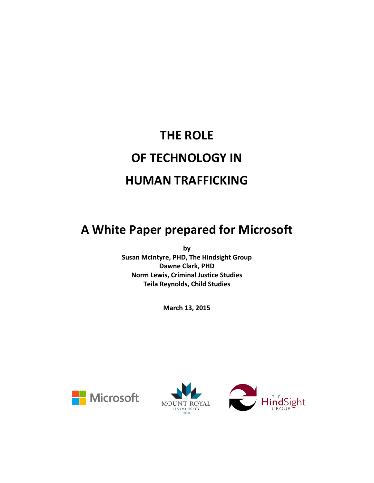# **THE ROLE OF TECHNOLOGY IN HUMAN TRAFFICKING**

# **A White Paper prepared for Microsoft**

**by Susan McIntyre, PHD, The Hindsight Group Dawne Clark, PHD Norm Lewis, Criminal Justice Studies Teila Reynolds, Child Studies**

**March 13, 2015**





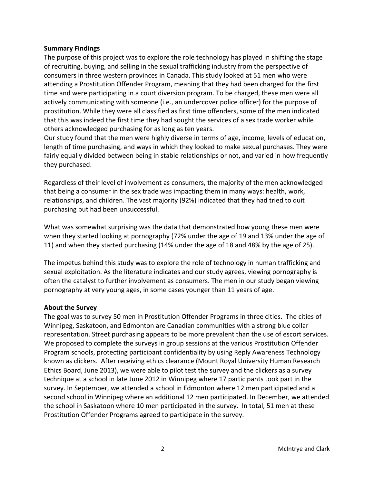#### **Summary Findings**

The purpose of this project was to explore the role technology has played in shifting the stage of recruiting, buying, and selling in the sexual trafficking industry from the perspective of consumers in three western provinces in Canada. This study looked at 51 men who were attending a Prostitution Offender Program, meaning that they had been charged for the first time and were participating in a court diversion program. To be charged, these men were all actively communicating with someone (i.e., an undercover police officer) for the purpose of prostitution. While they were all classified as first time offenders, some of the men indicated that this was indeed the first time they had sought the services of a sex trade worker while others acknowledged purchasing for as long as ten years.

Our study found that the men were highly diverse in terms of age, income, levels of education, length of time purchasing, and ways in which they looked to make sexual purchases. They were fairly equally divided between being in stable relationships or not, and varied in how frequently they purchased.

Regardless of their level of involvement as consumers, the majority of the men acknowledged that being a consumer in the sex trade was impacting them in many ways: health, work, relationships, and children. The vast majority (92%) indicated that they had tried to quit purchasing but had been unsuccessful.

What was somewhat surprising was the data that demonstrated how young these men were when they started looking at pornography (72% under the age of 19 and 13% under the age of 11) and when they started purchasing (14% under the age of 18 and 48% by the age of 25).

The impetus behind this study was to explore the role of technology in human trafficking and sexual exploitation. As the literature indicates and our study agrees, viewing pornography is often the catalyst to further involvement as consumers. The men in our study began viewing pornography at very young ages, in some cases younger than 11 years of age.

#### **About the Survey**

The goal was to survey 50 men in Prostitution Offender Programs in three cities. The cities of Winnipeg, Saskatoon, and Edmonton are Canadian communities with a strong blue collar representation. Street purchasing appears to be more prevalent than the use of escort services. We proposed to complete the surveys in group sessions at the various Prostitution Offender Program schools, protecting participant confidentiality by using Reply Awareness Technology known as clickers. After receiving ethics clearance (Mount Royal University Human Research Ethics Board, June 2013), we were able to pilot test the survey and the clickers as a survey technique at a school in late June 2012 in Winnipeg where 17 participants took part in the survey. In September, we attended a school in Edmonton where 12 men participated and a second school in Winnipeg where an additional 12 men participated. In December, we attended the school in Saskatoon where 10 men participated in the survey. In total, 51 men at these Prostitution Offender Programs agreed to participate in the survey.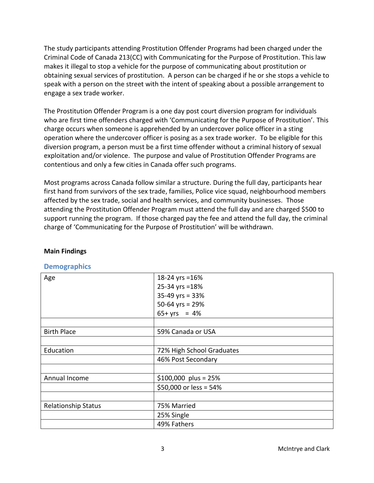The study participants attending Prostitution Offender Programs had been charged under the Criminal Code of Canada 213(CC) with Communicating for the Purpose of Prostitution. This law makes it illegal to stop a vehicle for the purpose of communicating about prostitution or obtaining sexual services of prostitution. A person can be charged if he or she stops a vehicle to speak with a person on the street with the intent of speaking about a possible arrangement to engage a sex trade worker.

The Prostitution Offender Program is a one day post court diversion program for individuals who are first time offenders charged with 'Communicating for the Purpose of Prostitution'. This charge occurs when someone is apprehended by an undercover police officer in a sting operation where the undercover officer is posing as a sex trade worker. To be eligible for this diversion program, a person must be a first time offender without a criminal history of sexual exploitation and/or violence. The purpose and value of Prostitution Offender Programs are contentious and only a few cities in Canada offer such programs.

Most programs across Canada follow similar a structure. During the full day, participants hear first hand from survivors of the sex trade, families, Police vice squad, neighbourhood members affected by the sex trade, social and health services, and community businesses. Those attending the Prostitution Offender Program must attend the full day and are charged \$500 to support running the program. If those charged pay the fee and attend the full day, the criminal charge of 'Communicating for the Purpose of Prostitution' will be withdrawn.

| Demographics               |                           |
|----------------------------|---------------------------|
| Age                        | 18-24 yrs = 16%           |
|                            | 25-34 yrs = 18%           |
|                            | $35-49$ yrs = 33%         |
|                            | 50-64 yrs = $29%$         |
|                            | $65 + yrs = 4%$           |
|                            |                           |
| <b>Birth Place</b>         | 59% Canada or USA         |
|                            |                           |
| Education                  | 72% High School Graduates |
|                            | 46% Post Secondary        |
|                            |                           |
| Annual Income              | \$100,000 plus = $25%$    |
|                            | \$50,000 or less = 54%    |
|                            |                           |
| <b>Relationship Status</b> | 75% Married               |
|                            | 25% Single                |
|                            | 49% Fathers               |

## **Main Findings**

# **Demographics**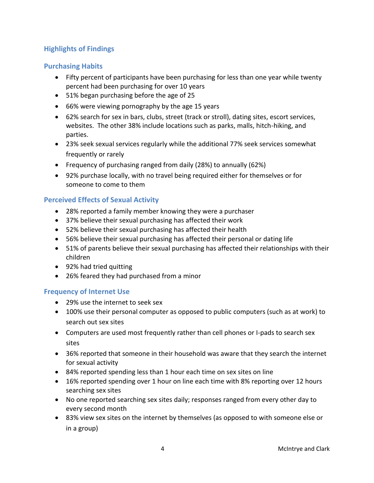# **Highlights of Findings**

# **Purchasing Habits**

- Fifty percent of participants have been purchasing for less than one year while twenty percent had been purchasing for over 10 years
- 51% began purchasing before the age of 25
- 66% were viewing pornography by the age 15 years
- 62% search for sex in bars, clubs, street (track or stroll), dating sites, escort services, websites. The other 38% include locations such as parks, malls, hitch-hiking, and parties.
- 23% seek sexual services regularly while the additional 77% seek services somewhat frequently or rarely
- Frequency of purchasing ranged from daily (28%) to annually (62%)
- 92% purchase locally, with no travel being required either for themselves or for someone to come to them

## **Perceived Effects of Sexual Activity**

- 28% reported a family member knowing they were a purchaser
- 37% believe their sexual purchasing has affected their work
- 52% believe their sexual purchasing has affected their health
- 56% believe their sexual purchasing has affected their personal or dating life
- 51% of parents believe their sexual purchasing has affected their relationships with their children
- 92% had tried quitting
- 26% feared they had purchased from a minor

## **Frequency of Internet Use**

- 29% use the internet to seek sex
- 100% use their personal computer as opposed to public computers (such as at work) to search out sex sites
- Computers are used most frequently rather than cell phones or I-pads to search sex sites
- 36% reported that someone in their household was aware that they search the internet for sexual activity
- 84% reported spending less than 1 hour each time on sex sites on line
- 16% reported spending over 1 hour on line each time with 8% reporting over 12 hours searching sex sites
- No one reported searching sex sites daily; responses ranged from every other day to every second month
- 83% view sex sites on the internet by themselves (as opposed to with someone else or in a group)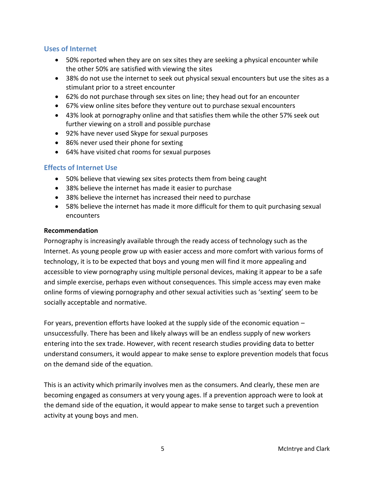#### **Uses of Internet**

- 50% reported when they are on sex sites they are seeking a physical encounter while the other 50% are satisfied with viewing the sites
- 38% do not use the internet to seek out physical sexual encounters but use the sites as a stimulant prior to a street encounter
- 62% do not purchase through sex sites on line; they head out for an encounter
- 67% view online sites before they venture out to purchase sexual encounters
- 43% look at pornography online and that satisfies them while the other 57% seek out further viewing on a stroll and possible purchase
- 92% have never used Skype for sexual purposes
- 86% never used their phone for sexting
- 64% have visited chat rooms for sexual purposes

#### **Effects of Internet Use**

- 50% believe that viewing sex sites protects them from being caught
- 38% believe the internet has made it easier to purchase
- 38% believe the internet has increased their need to purchase
- 58% believe the internet has made it more difficult for them to quit purchasing sexual encounters

#### **Recommendation**

Pornography is increasingly available through the ready access of technology such as the Internet. As young people grow up with easier access and more comfort with various forms of technology, it is to be expected that boys and young men will find it more appealing and accessible to view pornography using multiple personal devices, making it appear to be a safe and simple exercise, perhaps even without consequences. This simple access may even make online forms of viewing pornography and other sexual activities such as 'sexting' seem to be socially acceptable and normative.

For years, prevention efforts have looked at the supply side of the economic equation – unsuccessfully. There has been and likely always will be an endless supply of new workers entering into the sex trade. However, with recent research studies providing data to better understand consumers, it would appear to make sense to explore prevention models that focus on the demand side of the equation.

This is an activity which primarily involves men as the consumers. And clearly, these men are becoming engaged as consumers at very young ages. If a prevention approach were to look at the demand side of the equation, it would appear to make sense to target such a prevention activity at young boys and men.